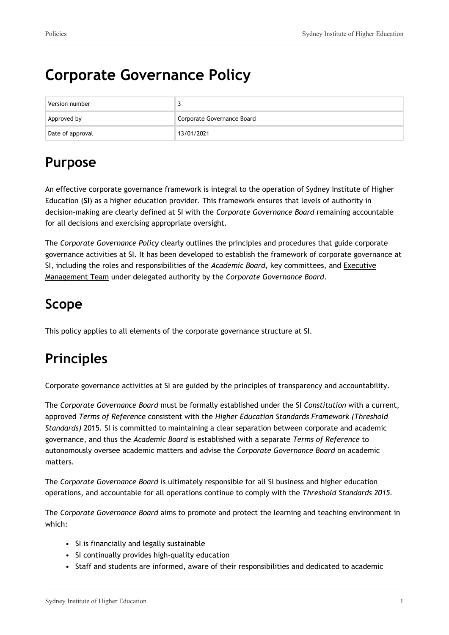# **Corporate Governance Policy**

| Version number   |                            |
|------------------|----------------------------|
| Approved by      | Corporate Governance Board |
| Date of approval | 13/01/2021                 |

## **Purpose**

An effective corporate governance framework is integral to the operation of Sydney Institute of Higher Education (**SI**) as a higher education provider. This framework ensures that levels of authority in decision-making are clearly defined at SI with the *Corporate Governance Board* remaining accountable for all decisions and exercising appropriate oversight.

The *Corporate Governance Policy* clearly outlines the principles and procedures that guide corporate governance activities at SI. It has been developed to establish the framework of corporate governance at SI, including the roles and responsibilities of the *Academic Board*, key committees, and Executive Management Team under delegated authority by the *Corporate Governance Board*.

## **Scope**

This policy applies to all elements of the corporate governance structure at SI.

# **Principles**

Corporate governance activities at SI are guided by the principles of transparency and accountability.

The *Corporate Governance Board* must be formally established under the SI *Constitution* with a current, approved *Terms of Reference* consistent with the *Higher Education Standards Framework (Threshold Standards)* 2015*.* SI is committed to maintaining a clear separation between corporate and academic governance, and thus the *Academic Board* is established with a separate *Terms of Reference* to autonomously oversee academic matters and advise the *Corporate Governance Board* on academic matters.

The *Corporate Governance Board* is ultimately responsible for all SI business and higher education operations, and accountable for all operations continue to comply with the *Threshold Standards 2015.*

The *Corporate Governance Board* aims to promote and protect the learning and teaching environment in which:

- SI is financially and legally sustainable
- SI continually provides high-quality education
- Staff and students are informed, aware of their responsibilities and dedicated to academic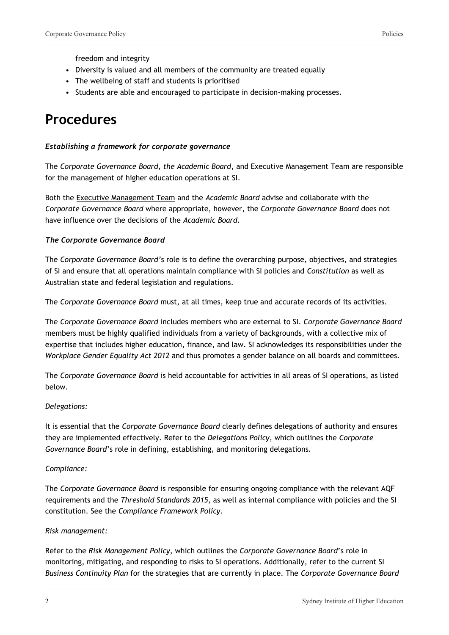freedom and integrity

- Diversity is valued and all members of the community are treated equally
- The wellbeing of staff and students is prioritised
- Students are able and encouraged to participate in decision-making processes.

### **Procedures**

#### *Establishing a framework for corporate governance*

The *Corporate Governance Board, the Academic Board*, and Executive Management Team are responsible for the management of higher education operations at SI.

Both the Executive Management Team and the *Academic Board* advise and collaborate with the *Corporate Governance Board* where appropriate, however, the *Corporate Governance Board* does not have influence over the decisions of the *Academic Board*.

#### *The Corporate Governance Board*

The *Corporate Governance Board'*s role is to define the overarching purpose, objectives, and strategies of SI and ensure that all operations maintain compliance with SI policies and *Constitution* as well as Australian state and federal legislation and regulations.

The *Corporate Governance Board* must, at all times, keep true and accurate records of its activities.

The *Corporate Governance Board* includes members who are external to SI. *Corporate Governance Board* members must be highly qualified individuals from a variety of backgrounds, with a collective mix of expertise that includes higher education, finance, and law. SI acknowledges its responsibilities under the *Workplace Gender Equality Act 2012* and thus promotes a gender balance on all boards and committees.

The *Corporate Governance Board* is held accountable for activities in all areas of SI operations, as listed below.

#### *Delegations:*

It is essential that the *Corporate Governance Board* clearly defines delegations of authority and ensures they are implemented effectively. Refer to the *Delegations Policy*, which outlines the *Corporate Governance Board*'s role in defining, establishing, and monitoring delegations.

#### *Compliance:*

The *Corporate Governance Board* is responsible for ensuring ongoing compliance with the relevant AQF requirements and the *Threshold Standards 2015*, as well as internal compliance with policies and the SI constitution. See the *Compliance Framework Policy.*

#### *Risk management:*

Refer to the *Risk Management Policy*, which outlines the *Corporate Governance Board*'s role in monitoring, mitigating, and responding to risks to SI operations. Additionally, refer to the current SI *Business Continuity Plan* for the strategies that are currently in place. The *Corporate Governance Board*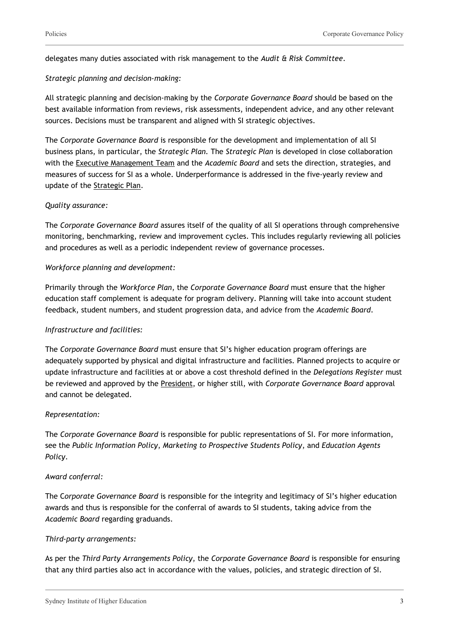delegates many duties associated with risk management to the *Audit & Risk Committee*.

#### *Strategic planning and decision-making:*

All strategic planning and decision-making by the *Corporate Governance Board* should be based on the best available information from reviews, risk assessments, independent advice, and any other relevant sources. Decisions must be transparent and aligned with SI strategic objectives.

The *Corporate Governance Board* is responsible for the development and implementation of all SI business plans, in particular, the *Strategic Plan.* The *Strategic Plan* is developed in close collaboration with the Executive Management Team and the *Academic Board* and sets the direction, strategies, and measures of success for SI as a whole. Underperformance is addressed in the five-yearly review and update of the Strategic Plan.

#### *Quality assurance:*

The *Corporate Governance Board* assures itself of the quality of all SI operations through comprehensive monitoring, benchmarking, review and improvement cycles. This includes regularly reviewing all policies and procedures as well as a periodic independent review of governance processes.

#### *Workforce planning and development:*

Primarily through the *Workforce Plan*, the *Corporate Governance Board* must ensure that the higher education staff complement is adequate for program delivery. Planning will take into account student feedback, student numbers, and student progression data, and advice from the *Academic Board*.

#### *Infrastructure and facilities:*

The *Corporate Governance Board* must ensure that SI's higher education program offerings are adequately supported by physical and digital infrastructure and facilities. Planned projects to acquire or update infrastructure and facilities at or above a cost threshold defined in the *Delegations Register* must be reviewed and approved by the President, or higher still, with *Corporate Governance Board* approval and cannot be delegated.

#### *Representation:*

The *Corporate Governance Board* is responsible for public representations of SI. For more information, see the *Public Information Policy*, *Marketing to Prospective Students Policy*, and *Education Agents Policy*.

#### *Award conferral:*

The C*orporate Governance Board* is responsible for the integrity and legitimacy of SI's higher education awards and thus is responsible for the conferral of awards to SI students, taking advice from the *Academic Board* regarding graduands.

#### *Third-party arrangements:*

As per the *Third Party Arrangements Policy*, the *Corporate Governance Board* is responsible for ensuring that any third parties also act in accordance with the values, policies, and strategic direction of SI.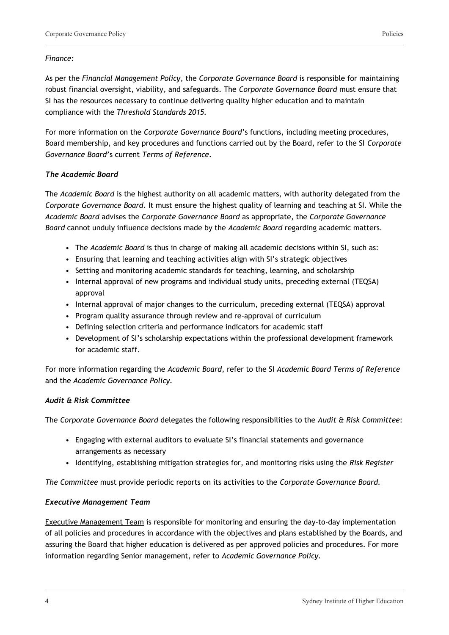#### *Finance:*

As per the *Financial Management Policy*, the *Corporate Governance Board* is responsible for maintaining robust financial oversight, viability, and safeguards. The *Corporate Governance Board* must ensure that SI has the resources necessary to continue delivering quality higher education and to maintain compliance with the *Threshold Standards 2015.*

For more information on the *Corporate Governance Board*'s functions, including meeting procedures, Board membership, and key procedures and functions carried out by the Board, refer to the SI *Corporate Governance Board*'s current *Terms of Reference*.

#### *The Academic Board*

The *Academic Board* is the highest authority on all academic matters, with authority delegated from the *Corporate Governance Board*. It must ensure the highest quality of learning and teaching at SI. While the *Academic Board* advises the *Corporate Governance Board* as appropriate, the *Corporate Governance Board* cannot unduly influence decisions made by the *Academic Board* regarding academic matters.

- The *Academic Board* is thus in charge of making all academic decisions within SI, such as:
- Ensuring that learning and teaching activities align with SI's strategic objectives
- Setting and monitoring academic standards for teaching, learning, and scholarship
- Internal approval of new programs and individual study units, preceding external (TEQSA) approval
- Internal approval of major changes to the curriculum, preceding external (TEQSA) approval
- Program quality assurance through review and re-approval of curriculum
- Defining selection criteria and performance indicators for academic staff
- Development of SI's scholarship expectations within the professional development framework for academic staff.

For more information regarding the *Academic Board*, refer to the SI *Academic Board Terms of Reference* and the *Academic Governance Policy.*

#### *Audit & Risk Committee*

The *Corporate Governance Board* delegates the following responsibilities to the *Audit & Risk Committee*:

- Engaging with external auditors to evaluate SI's financial statements and governance arrangements as necessary
- Identifying, establishing mitigation strategies for, and monitoring risks using the *Risk Register*

*The Committee* must provide periodic reports on its activities to the *Corporate Governance Board.*

#### *Executive Management Team*

Executive Management Team is responsible for monitoring and ensuring the day-to-day implementation of all policies and procedures in accordance with the objectives and plans established by the Boards, and assuring the Board that higher education is delivered as per approved policies and procedures. For more information regarding Senior management, refer to *Academic Governance Policy.*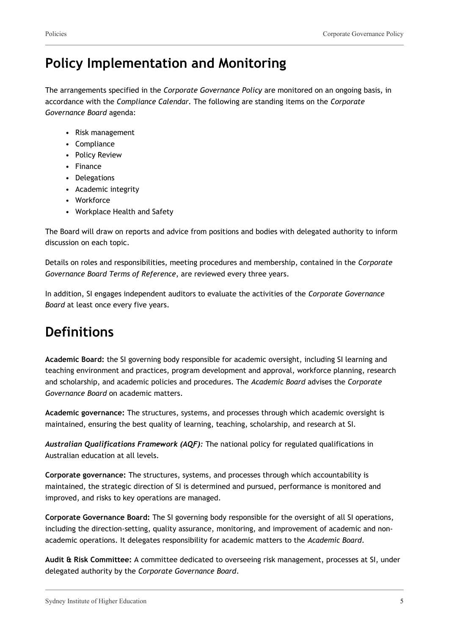## **Policy Implementation and Monitoring**

The arrangements specified in the *Corporate Governance Policy* are monitored on an ongoing basis, in accordance with the *Compliance Calendar.* The following are standing items on the *Corporate Governance Board* agenda:

- Risk management
- Compliance
- Policy Review
- Finance
- Delegations
- Academic integrity
- Workforce
- Workplace Health and Safety

The Board will draw on reports and advice from positions and bodies with delegated authority to inform discussion on each topic.

Details on roles and responsibilities, meeting procedures and membership, contained in the *Corporate Governance Board Terms of Reference*, are reviewed every three years.

In addition, SI engages independent auditors to evaluate the activities of the *Corporate Governance Board* at least once every five years.

## **Definitions**

**Academic Board:** the SI governing body responsible for academic oversight, including SI learning and teaching environment and practices, program development and approval, workforce planning, research and scholarship, and academic policies and procedures. The *Academic Board* advises the *Corporate Governance Board* on academic matters.

**Academic governance:** The structures, systems, and processes through which academic oversight is maintained, ensuring the best quality of learning, teaching, scholarship, and research at SI.

*Australian Qualifications Framework (AQF):* The national policy for regulated qualifications in Australian education at all levels.

**Corporate governance:** The structures, systems, and processes through which accountability is maintained, the strategic direction of SI is determined and pursued, performance is monitored and improved, and risks to key operations are managed.

**Corporate Governance Board:** The SI governing body responsible for the oversight of all SI operations, including the direction-setting, quality assurance, monitoring, and improvement of academic and nonacademic operations. It delegates responsibility for academic matters to the *Academic Board*.

**Audit & Risk Committee:** A committee dedicated to overseeing risk management, processes at SI, under delegated authority by the *Corporate Governance Board*.